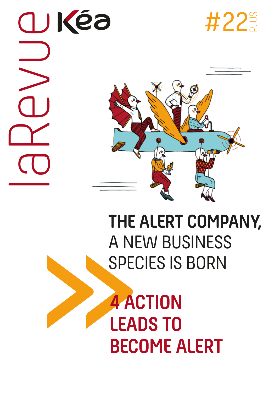laRevue





# **THE ALERT COMPANY,**  A NEW BUSINESS SPECIES IS BORN

**4 ACTION LEADS TO BECOME ALERT**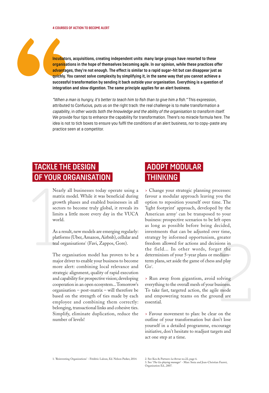#### **4 COURSES OF ACTION TO BECOME ALERT**

**Incubators, acquisitions, creating independent units: many large groups have resorted to these organisations in the hope of themselves becoming agile. In our opinion, while these practices offer advantages, they're not enough. The effect is similar to a rapid sugar-hit but can disappear just as quickly. You cannot solve complexity by simplifying it, in the same way that you cannot achieve a successful transformation by sending it back outside your organisation. Everything is a question of integration and slow digestion. The same principle applies for an alert business.**

*"When a man is hungry, it's better to teach him to fish than to give him a fish."* This expression, attributed to Confucius, puts us on the right track: the real challenge is to make transformation a *capability*, in other words *both the knowledge and the ability of the organisation to transform itself.* We provide four tips to enhance the capability for transformation. There's no miracle formula here. The idea is not to tick boxes to ensure you fulfil the conditions of an alert business, nor to copy-paste any practice seen at a competitor.

## **TACKLE THE DESIGN OF YOUR ORGANISATION**

Nearly all businesses today operate using a matrix model. While it was beneficial during growth phases and enabled businesses in all sectors to become truly global, it reveals its limits a little more every day in the VUCA world.

As a result, new models are emerging regularly: platforms (Uber, Amazon, Airbnb), cellular and teal organisations<sup>1</sup> (Favi, Zappos, Gore).

The organisation model has proven to be a major driver to enable your business to become more alert: combining local relevance and strategic alignment, quality of rapid execution and capability for prospective vision; developing cooperation in an open ecosystem... Tomorrow's organisation – post-matrix – will therefore be based on the strength of ties made by each employee and combining them correctly: belonging, transactional links and cohesive ties. Simplify, eliminate duplication, reduce the number of levels!

# **ADOPT MODULAR THINKING**

**IF YOUR URGAINISATION**<br>
Nearly all businesses today operate using a<br>  $\rightarrow$  Change your strategic planning processes:<br>
matrix model. While it was beneficial during favor<br>
from process to growth phases and enabled businesse > Change your strategic planning processes: favour a modular approach leaving you the option to reposition yourself over time. The 'light footprint' approach, developed by the American army<sup>2</sup> can be transposed to your business: prospective scenarios to be left open as long as possible before being decided, investments that can be adjusted over time, strategy by informed opportunism, greater freedom allowed for actions and decisions in the field... In other words, forget the determinism of your 5-year plans or mediumterm plans, set aside the game of chess and play  $Go^3$ .

> Run away from gigantism, avoid solving everything to the overall mesh of your business. To take fast, targeted action, the agile mode and empowering teams on the ground are essential.

> Favour movement to plan: be clear on the outline of your transformation but don't lose yourself in a detailed programme, encourage initiative, don't hesitate to readjust targets and act one step at a time.

1. 'Reinventing Organizations' - Frédéric Laloux, Ed. Nelson Parker, 2014. 2. See Kea & Partners *La Revue* no.22, page 6.

3. See '*The Go-playing manager*' - Marc Smia and Jean-Christian Fauvet, Organisation Ed., 2007.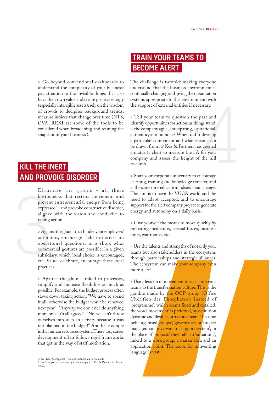> Go beyond conventional dashboards to understand the complexity of your business: pay attention to the invisible things that also have their own value and create positive energy (especially intangible assets); rely on the wisdom of crowds to decipher background trends; measure indices that change over time (NTS, CVA, REXI are some of the tools to be considered when broadening and refining the snapshot of your business<sup>4</sup>).

## **KILL THE INERT AND PROVOKE DISORDER**

Eliminate the gluons - all these bottlenecks that restrict movement and prevent entrepreneurial energy from being expressed<sup>5</sup> - and provoke constructive disorder, aligned with the vision and conducive to taking action.

Elimin<br>bottleno<br>prevent<br>expressee<br>aligned<br>taking aa<br>> Agains<br>autonor<br>operatio<br>commer<br>subsidian<br>etc. Valu<br>practices > Against the gluons that hinder your employees' autonomy, encourage field initiatives on operational questions: in a shop, what commercial gestures are possible; in a given subsidiary, which local choice is encouraged, etc. Value, celebrate, encourage these local practices.

> > Against the gluons linked to processes, simplify and increase flexibility as much as possible. For example, the budget process often slows down taking action: "We have to spend it all, otherwise the budget won't be renewed next year"; "Anyway, we don't decide anything more once it's all agreed"; "No, we can't throw ourselves into such an activity because it was not planned in the budget!" Another example is the human resources system. There too, career development often follows rigid frameworks that get in the way of staff motivation.

# **TRAIN YOUR TEAMS TO BECOME ALERT**

The challenge is twofold: making everyone understand that the business environment is continually changing and giving the organisation systems appropriate to this environment, with the support of external entities if necessary.

painsation<br>nent, with<br>ressary.<br>past and<br>mgs stand,<br>initional,<br>t develop<br>ssons can<br>as created<br>for your<br>f the hill<br>encourage > Tell your team to question the past and identify opportunities for action: as things stand, is the company agile, anticipating, aspirational, authentic, autonomous? When did it develop a particular component and what lessons can be drawn from it? Kea & Partners has created a maturity chart to measure the 5A for your company and assess the height of the hill to climb.

> Start your corporate university to encourage learning, training and knowledge transfer, and at the same time educate mindsets about change. The aim is to have the VUCA world and the need to adapt accepted, and to encourage support for the alert company project to generate energy and autonomy on a daily basis.

> Give yourself the means to move quickly by preparing incubators, special forces, business units, war rooms, etc.

> Use the talents and strengths of not only your teams but also stakeholders in the ecosystem, through partnerships and strategic alliances. The ecosystem can make your company even more alert!

> Use a lexicon of movement to accustom your teams to the transformation culture. This is the gamble made by the OCP group (Office Chérifien des Phosphates): instead of 'programme', which seems fixed and detailed, the word 'movement' is preferred, by definition dynamic and flexible; 'structured teams' become 'self-organised groups'; 'governance' or 'project management' give way to 'support system'; in the place of 'projects' they refer to 'situations', linked to a work group, a master idea and an application point. The scope for reinventing language is vast.

<sup>4.</sup> See 'Kea's Compasses' – Kea & Partners' *La Revue* no.19.

<sup>5.</sup> See 'The paths of autonomy in the company' – Kea & Partners *La Revue* no.20.